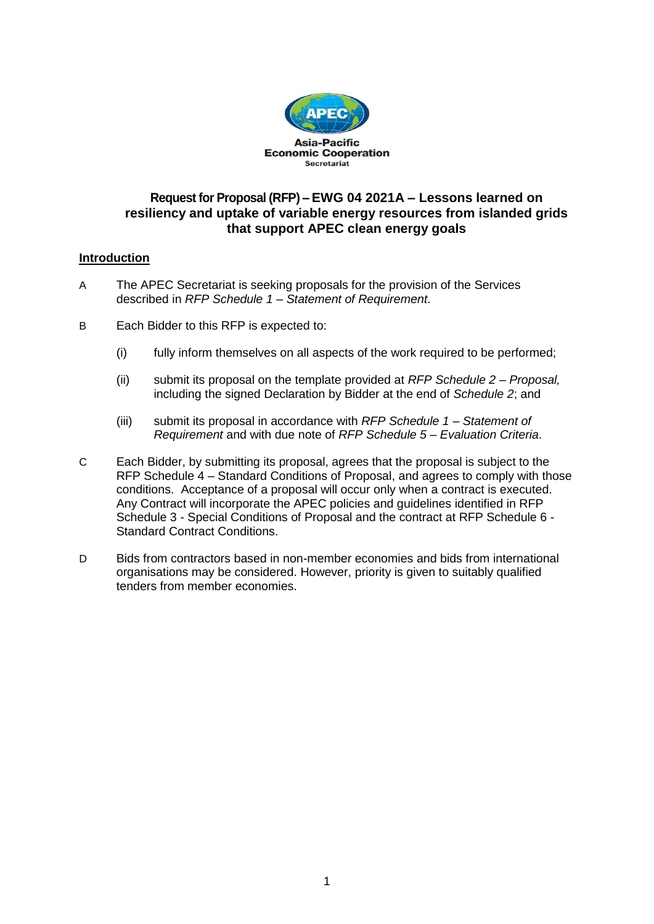

## **Request for Proposal (RFP) – EWG 04 2021A – Lessons learned on resiliency and uptake of variable energy resources from islanded grids that support APEC clean energy goals**

## **Introduction**

- A The APEC Secretariat is seeking proposals for the provision of the Services described in *RFP Schedule 1 – Statement of Requirement*.
- B Each Bidder to this RFP is expected to:
	- (i) fully inform themselves on all aspects of the work required to be performed;
	- (ii) submit its proposal on the template provided at *RFP Schedule 2 – Proposal,*  including the signed Declaration by Bidder at the end of *Schedule 2*; and
	- (iii) submit its proposal in accordance with *RFP Schedule 1 – Statement of Requirement* and with due note of *RFP Schedule 5 – Evaluation Criteria*.
- C Each Bidder, by submitting its proposal, agrees that the proposal is subject to the RFP Schedule 4 – Standard Conditions of Proposal, and agrees to comply with those conditions. Acceptance of a proposal will occur only when a contract is executed. Any Contract will incorporate the APEC policies and guidelines identified in RFP Schedule 3 - Special Conditions of Proposal and the contract at RFP Schedule 6 - Standard Contract Conditions.
- D Bids from contractors based in non-member economies and bids from international organisations may be considered. However, priority is given to suitably qualified tenders from member economies.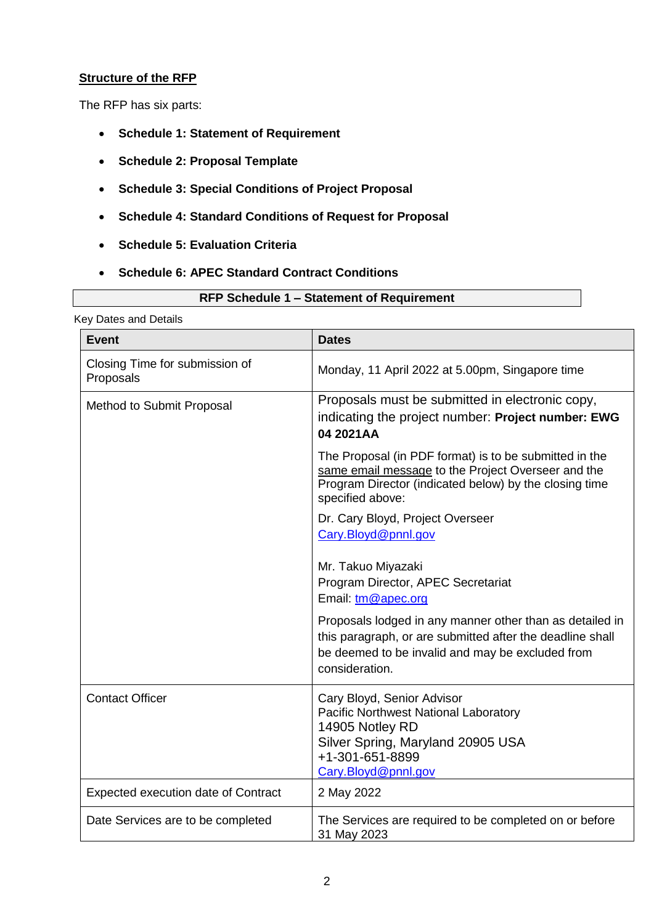## **Structure of the RFP**

The RFP has six parts:

- **Schedule 1: Statement of Requirement**
- **Schedule 2: Proposal Template**
- **Schedule 3: Special Conditions of Project Proposal**
- **Schedule 4: Standard Conditions of Request for Proposal**
- **Schedule 5: Evaluation Criteria**
- **Schedule 6: APEC Standard Contract Conditions**

Key Dates and Details

| <b>Event</b>                                | <b>Dates</b>                                                                                                                                                                                |
|---------------------------------------------|---------------------------------------------------------------------------------------------------------------------------------------------------------------------------------------------|
| Closing Time for submission of<br>Proposals | Monday, 11 April 2022 at 5.00pm, Singapore time                                                                                                                                             |
| Method to Submit Proposal                   | Proposals must be submitted in electronic copy,<br>indicating the project number: Project number: EWG<br>04 2021AA                                                                          |
|                                             | The Proposal (in PDF format) is to be submitted in the<br>same email message to the Project Overseer and the<br>Program Director (indicated below) by the closing time<br>specified above:  |
|                                             | Dr. Cary Bloyd, Project Overseer<br>Cary.Bloyd@pnnl.gov                                                                                                                                     |
|                                             | Mr. Takuo Miyazaki<br>Program Director, APEC Secretariat<br>Email: tm@apec.org                                                                                                              |
|                                             | Proposals lodged in any manner other than as detailed in<br>this paragraph, or are submitted after the deadline shall<br>be deemed to be invalid and may be excluded from<br>consideration. |
| <b>Contact Officer</b>                      | Cary Bloyd, Senior Advisor<br>Pacific Northwest National Laboratory<br>14905 Notley RD<br>Silver Spring, Maryland 20905 USA<br>+1-301-651-8899<br>Cary.Bloyd@pnnl.gov                       |
| Expected execution date of Contract         | 2 May 2022                                                                                                                                                                                  |
| Date Services are to be completed           | The Services are required to be completed on or before<br>31 May 2023                                                                                                                       |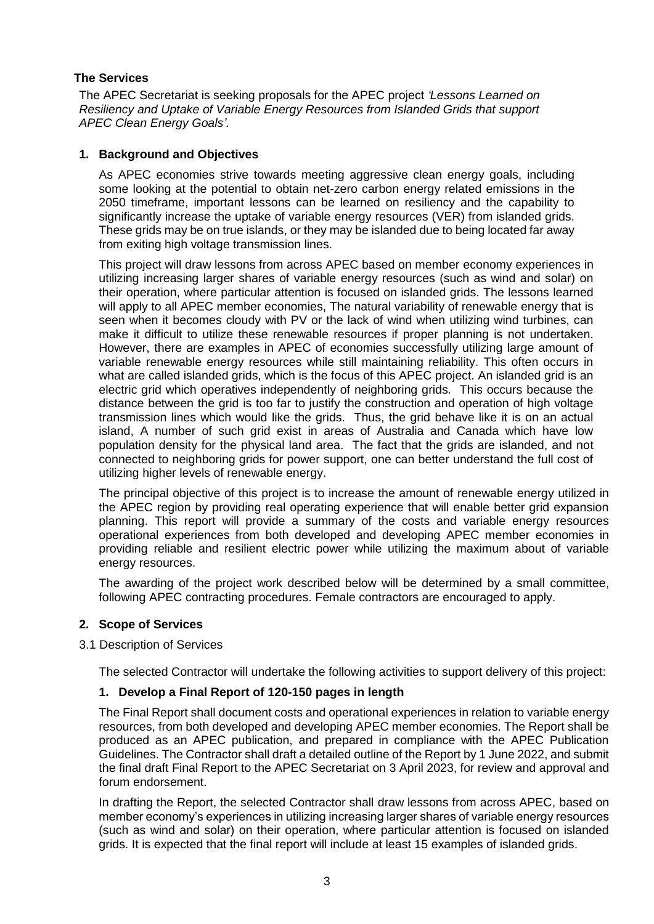## **The Services**

The APEC Secretariat is seeking proposals for the APEC project *'Lessons Learned on Resiliency and Uptake of Variable Energy Resources from Islanded Grids that support APEC Clean Energy Goals'.*

## **1. Background and Objectives**

As APEC economies strive towards meeting aggressive clean energy goals, including some looking at the potential to obtain net-zero carbon energy related emissions in the 2050 timeframe, important lessons can be learned on resiliency and the capability to significantly increase the uptake of variable energy resources (VER) from islanded grids. These grids may be on true islands, or they may be islanded due to being located far away from exiting high voltage transmission lines.

This project will draw lessons from across APEC based on member economy experiences in utilizing increasing larger shares of variable energy resources (such as wind and solar) on their operation, where particular attention is focused on islanded grids. The lessons learned will apply to all APEC member economies, The natural variability of renewable energy that is seen when it becomes cloudy with PV or the lack of wind when utilizing wind turbines, can make it difficult to utilize these renewable resources if proper planning is not undertaken. However, there are examples in APEC of economies successfully utilizing large amount of variable renewable energy resources while still maintaining reliability. This often occurs in what are called islanded grids, which is the focus of this APEC project. An islanded grid is an electric grid which operatives independently of neighboring grids. This occurs because the distance between the grid is too far to justify the construction and operation of high voltage transmission lines which would like the grids. Thus, the grid behave like it is on an actual island, A number of such grid exist in areas of Australia and Canada which have low population density for the physical land area. The fact that the grids are islanded, and not connected to neighboring grids for power support, one can better understand the full cost of utilizing higher levels of renewable energy.

The principal objective of this project is to increase the amount of renewable energy utilized in the APEC region by providing real operating experience that will enable better grid expansion planning. This report will provide a summary of the costs and variable energy resources operational experiences from both developed and developing APEC member economies in providing reliable and resilient electric power while utilizing the maximum about of variable energy resources.

The awarding of the project work described below will be determined by a small committee, following APEC contracting procedures. Female contractors are encouraged to apply.

## **2. Scope of Services**

## 3.1 Description of Services

The selected Contractor will undertake the following activities to support delivery of this project:

## **1. Develop a Final Report of 120-150 pages in length**

The Final Report shall document costs and operational experiences in relation to variable energy resources, from both developed and developing APEC member economies. The Report shall be produced as an APEC publication, and prepared in compliance with the APEC Publication Guidelines. The Contractor shall draft a detailed outline of the Report by 1 June 2022, and submit the final draft Final Report to the APEC Secretariat on 3 April 2023, for review and approval and forum endorsement.

In drafting the Report, the selected Contractor shall draw lessons from across APEC, based on member economy's experiences in utilizing increasing larger shares of variable energy resources (such as wind and solar) on their operation, where particular attention is focused on islanded grids. It is expected that the final report will include at least 15 examples of islanded grids.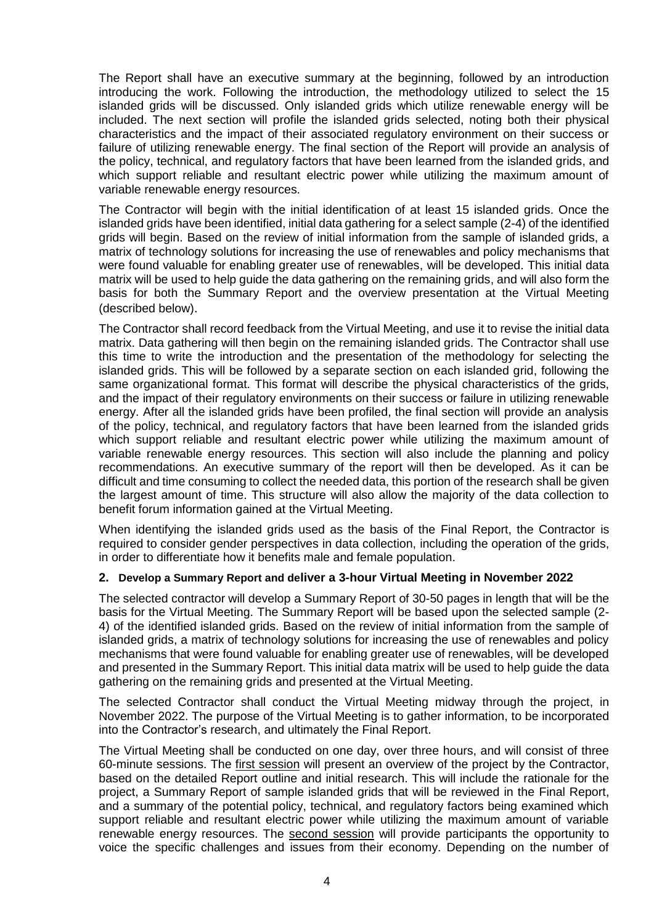The Report shall have an executive summary at the beginning, followed by an introduction introducing the work. Following the introduction, the methodology utilized to select the 15 islanded grids will be discussed. Only islanded grids which utilize renewable energy will be included. The next section will profile the islanded grids selected, noting both their physical characteristics and the impact of their associated regulatory environment on their success or failure of utilizing renewable energy. The final section of the Report will provide an analysis of the policy, technical, and regulatory factors that have been learned from the islanded grids, and which support reliable and resultant electric power while utilizing the maximum amount of variable renewable energy resources.

The Contractor will begin with the initial identification of at least 15 islanded grids. Once the islanded grids have been identified, initial data gathering for a select sample (2-4) of the identified grids will begin. Based on the review of initial information from the sample of islanded grids, a matrix of technology solutions for increasing the use of renewables and policy mechanisms that were found valuable for enabling greater use of renewables, will be developed. This initial data matrix will be used to help guide the data gathering on the remaining grids, and will also form the basis for both the Summary Report and the overview presentation at the Virtual Meeting (described below).

The Contractor shall record feedback from the Virtual Meeting, and use it to revise the initial data matrix. Data gathering will then begin on the remaining islanded grids. The Contractor shall use this time to write the introduction and the presentation of the methodology for selecting the islanded grids. This will be followed by a separate section on each islanded grid, following the same organizational format. This format will describe the physical characteristics of the grids, and the impact of their regulatory environments on their success or failure in utilizing renewable energy. After all the islanded grids have been profiled, the final section will provide an analysis of the policy, technical, and regulatory factors that have been learned from the islanded grids which support reliable and resultant electric power while utilizing the maximum amount of variable renewable energy resources. This section will also include the planning and policy recommendations. An executive summary of the report will then be developed. As it can be difficult and time consuming to collect the needed data, this portion of the research shall be given the largest amount of time. This structure will also allow the majority of the data collection to benefit forum information gained at the Virtual Meeting.

When identifying the islanded grids used as the basis of the Final Report, the Contractor is required to consider gender perspectives in data collection, including the operation of the grids, in order to differentiate how it benefits male and female population.

### **2. Develop a Summary Report and deliver a 3-hour Virtual Meeting in November 2022**

The selected contractor will develop a Summary Report of 30-50 pages in length that will be the basis for the Virtual Meeting. The Summary Report will be based upon the selected sample (2- 4) of the identified islanded grids. Based on the review of initial information from the sample of islanded grids, a matrix of technology solutions for increasing the use of renewables and policy mechanisms that were found valuable for enabling greater use of renewables, will be developed and presented in the Summary Report. This initial data matrix will be used to help guide the data gathering on the remaining grids and presented at the Virtual Meeting.

The selected Contractor shall conduct the Virtual Meeting midway through the project, in November 2022. The purpose of the Virtual Meeting is to gather information, to be incorporated into the Contractor's research, and ultimately the Final Report.

The Virtual Meeting shall be conducted on one day, over three hours, and will consist of three 60-minute sessions. The first session will present an overview of the project by the Contractor, based on the detailed Report outline and initial research. This will include the rationale for the project, a Summary Report of sample islanded grids that will be reviewed in the Final Report, and a summary of the potential policy, technical, and regulatory factors being examined which support reliable and resultant electric power while utilizing the maximum amount of variable renewable energy resources. The second session will provide participants the opportunity to voice the specific challenges and issues from their economy. Depending on the number of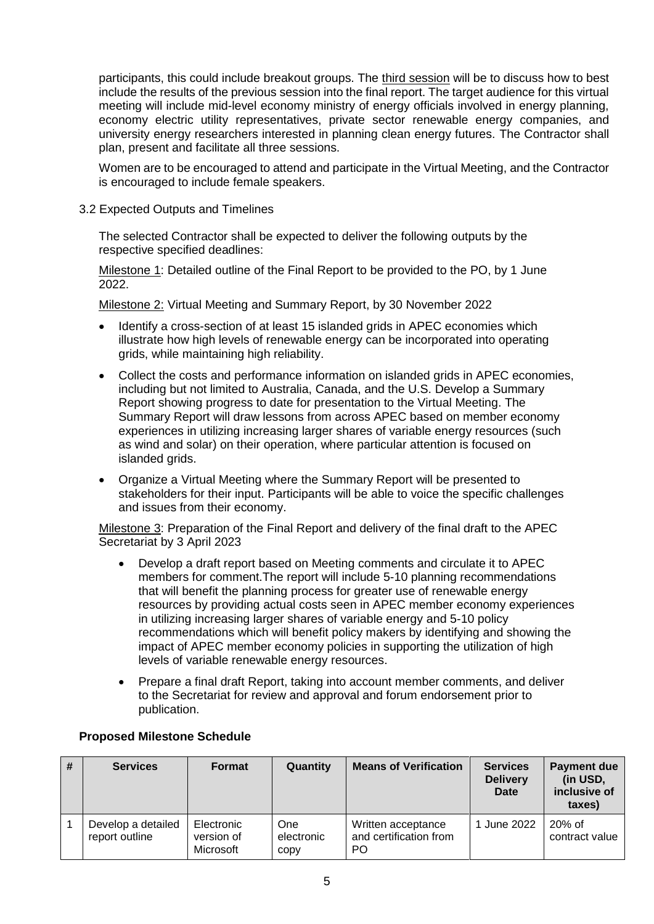participants, this could include breakout groups. The third session will be to discuss how to best include the results of the previous session into the final report. The target audience for this virtual meeting will include mid-level economy ministry of energy officials involved in energy planning, economy electric utility representatives, private sector renewable energy companies, and university energy researchers interested in planning clean energy futures. The Contractor shall plan, present and facilitate all three sessions.

Women are to be encouraged to attend and participate in the Virtual Meeting, and the Contractor is encouraged to include female speakers.

3.2 Expected Outputs and Timelines

The selected Contractor shall be expected to deliver the following outputs by the respective specified deadlines:

Milestone 1: Detailed outline of the Final Report to be provided to the PO, by 1 June 2022.

Milestone 2: Virtual Meeting and Summary Report, by 30 November 2022

- Identify a cross-section of at least 15 islanded grids in APEC economies which illustrate how high levels of renewable energy can be incorporated into operating grids, while maintaining high reliability.
- Collect the costs and performance information on islanded grids in APEC economies, including but not limited to Australia, Canada, and the U.S. Develop a Summary Report showing progress to date for presentation to the Virtual Meeting. The Summary Report will draw lessons from across APEC based on member economy experiences in utilizing increasing larger shares of variable energy resources (such as wind and solar) on their operation, where particular attention is focused on islanded grids.
- Organize a Virtual Meeting where the Summary Report will be presented to stakeholders for their input. Participants will be able to voice the specific challenges and issues from their economy.

Milestone 3: Preparation of the Final Report and delivery of the final draft to the APEC Secretariat by 3 April 2023

- Develop a draft report based on Meeting comments and circulate it to APEC members for comment.The report will include 5-10 planning recommendations that will benefit the planning process for greater use of renewable energy resources by providing actual costs seen in APEC member economy experiences in utilizing increasing larger shares of variable energy and 5-10 policy recommendations which will benefit policy makers by identifying and showing the impact of APEC member economy policies in supporting the utilization of high levels of variable renewable energy resources.
- Prepare a final draft Report, taking into account member comments, and deliver to the Secretariat for review and approval and forum endorsement prior to publication.

| # | <b>Services</b>                      | <b>Format</b>                         | Quantity                  | <b>Means of Verification</b>                       | <b>Services</b><br><b>Delivery</b><br>Date | <b>Payment due</b><br>(in USD,<br>inclusive of<br>taxes) |
|---|--------------------------------------|---------------------------------------|---------------------------|----------------------------------------------------|--------------------------------------------|----------------------------------------------------------|
|   | Develop a detailed<br>report outline | Electronic<br>version of<br>Microsoft | One<br>electronic<br>copy | Written acceptance<br>and certification from<br>PO | 1 June 2022                                | $20\%$ of<br>contract value                              |

### **Proposed Milestone Schedule**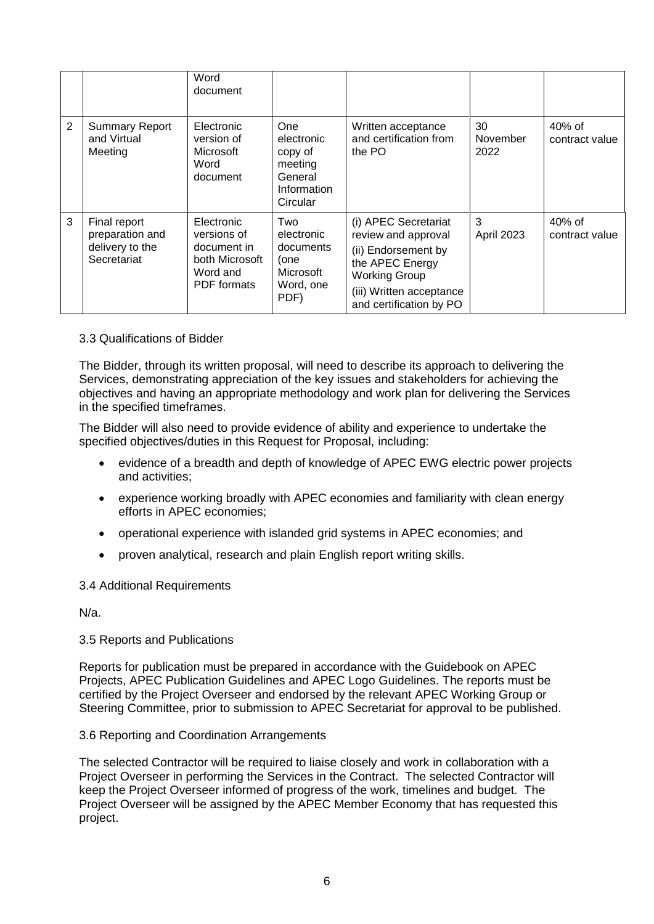|                |                                                                   | Word<br>document                                                                             |                                                                                      |                                                                                                                                                                      |                        |                             |
|----------------|-------------------------------------------------------------------|----------------------------------------------------------------------------------------------|--------------------------------------------------------------------------------------|----------------------------------------------------------------------------------------------------------------------------------------------------------------------|------------------------|-----------------------------|
| $\overline{2}$ | <b>Summary Report</b><br>and Virtual<br>Meeting                   | Electronic<br>version of<br>Microsoft<br>Word<br>document                                    | <b>One</b><br>electronic<br>copy of<br>meeting<br>General<br>Information<br>Circular | Written acceptance<br>and certification from<br>the PO                                                                                                               | 30<br>November<br>2022 | $40\%$ of<br>contract value |
| 3              | Final report<br>preparation and<br>delivery to the<br>Secretariat | Electronic<br>versions of<br>document in<br>both Microsoft<br>Word and<br><b>PDF</b> formats | Two<br>electronic<br>documents<br>(one<br>Microsoft<br>Word, one<br>PDF)             | (i) APEC Secretariat<br>review and approval<br>(ii) Endorsement by<br>the APEC Energy<br><b>Working Group</b><br>(iii) Written acceptance<br>and certification by PO | 3<br>April 2023        | 40% of<br>contract value    |

### 3.3 Qualifications of Bidder

The Bidder, through its written proposal, will need to describe its approach to delivering the Services, demonstrating appreciation of the key issues and stakeholders for achieving the objectives and having an appropriate methodology and work plan for delivering the Services in the specified timeframes.

The Bidder will also need to provide evidence of ability and experience to undertake the specified objectives/duties in this Request for Proposal, including:

- evidence of a breadth and depth of knowledge of APEC EWG electric power projects and activities;
- experience working broadly with APEC economies and familiarity with clean energy efforts in APEC economies;
- operational experience with islanded grid systems in APEC economies; and
- proven analytical, research and plain English report writing skills.

### 3.4 Additional Requirements

N/a.

### 3.5 Reports and Publications

Reports for publication must be prepared in accordance with the Guidebook on APEC Projects, APEC Publication Guidelines and APEC Logo Guidelines. The reports must be certified by the Project Overseer and endorsed by the relevant APEC Working Group or Steering Committee, prior to submission to APEC Secretariat for approval to be published.

### 3.6 Reporting and Coordination Arrangements

The selected Contractor will be required to liaise closely and work in collaboration with a Project Overseer in performing the Services in the Contract. The selected Contractor will keep the Project Overseer informed of progress of the work, timelines and budget. The Project Overseer will be assigned by the APEC Member Economy that has requested this project.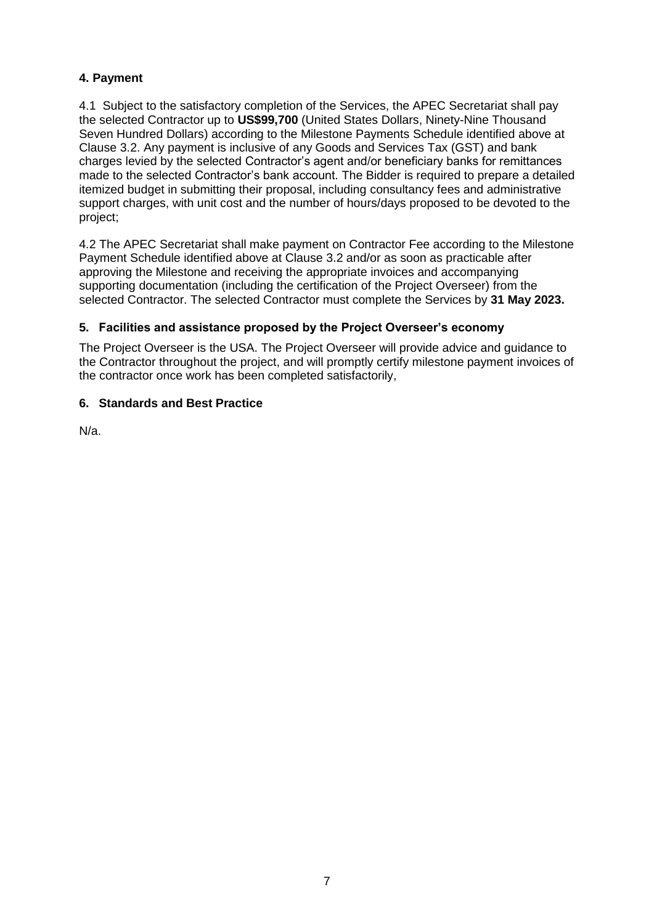## **4. Payment**

4.1 Subject to the satisfactory completion of the Services, the APEC Secretariat shall pay the selected Contractor up to **US\$99,700** (United States Dollars, Ninety-Nine Thousand Seven Hundred Dollars) according to the Milestone Payments Schedule identified above at Clause 3.2. Any payment is inclusive of any Goods and Services Tax (GST) and bank charges levied by the selected Contractor's agent and/or beneficiary banks for remittances made to the selected Contractor's bank account. The Bidder is required to prepare a detailed itemized budget in submitting their proposal, including consultancy fees and administrative support charges, with unit cost and the number of hours/days proposed to be devoted to the project;

4.2 The APEC Secretariat shall make payment on Contractor Fee according to the Milestone Payment Schedule identified above at Clause 3.2 and/or as soon as practicable after approving the Milestone and receiving the appropriate invoices and accompanying supporting documentation (including the certification of the Project Overseer) from the selected Contractor. The selected Contractor must complete the Services by **31 May 2023.**

## **5. Facilities and assistance proposed by the Project Overseer's economy**

The Project Overseer is the USA. The Project Overseer will provide advice and guidance to the Contractor throughout the project, and will promptly certify milestone payment invoices of the contractor once work has been completed satisfactorily,

## **6. Standards and Best Practice**

N/a.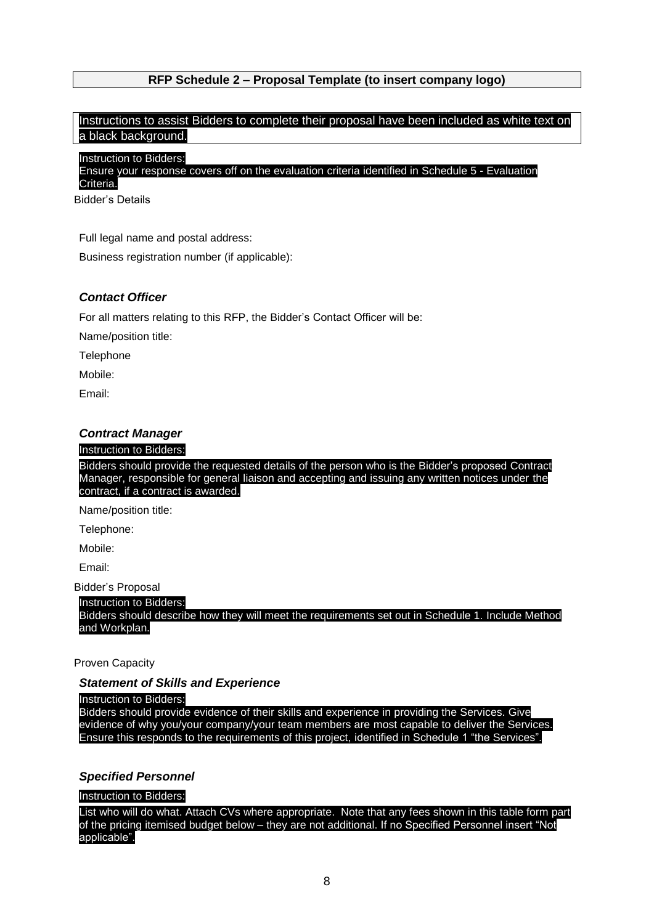## **RFP Schedule 2 – Proposal Template (to insert company logo)**

## Instructions to assist Bidders to complete their proposal have been included as white text on a black background.

Instruction to Bidders:

Ensure your response covers off on the evaluation criteria identified in Schedule 5 - Evaluation Criteria.

Bidder's Details

Full legal name and postal address:

Business registration number (if applicable):

### *Contact Officer*

For all matters relating to this RFP, the Bidder's Contact Officer will be:

Name/position title:

**Telephone** 

Mobile:

Email:

### *Contract Manager*

#### Instruction to Bidders:

Bidders should provide the requested details of the person who is the Bidder's proposed Contract Manager, responsible for general liaison and accepting and issuing any written notices under the contract, if a contract is awarded.

Name/position title:

Telephone:

Mobile:

Email:

Bidder's Proposal

#### Instruction to Bidders:

Bidders should describe how they will meet the requirements set out in Schedule 1. Include Method and Workplan.

#### Proven Capacity

## *Statement of Skills and Experience*

### Instruction to Bidders:

Bidders should provide evidence of their skills and experience in providing the Services. Give evidence of why you/your company/your team members are most capable to deliver the Services. Ensure this responds to the requirements of this project, identified in Schedule 1 "the Services".

## *Specified Personnel*

### Instruction to Bidders:

List who will do what. Attach CVs where appropriate. Note that any fees shown in this table form part of the pricing itemised budget below – they are not additional. If no Specified Personnel insert "No applicable".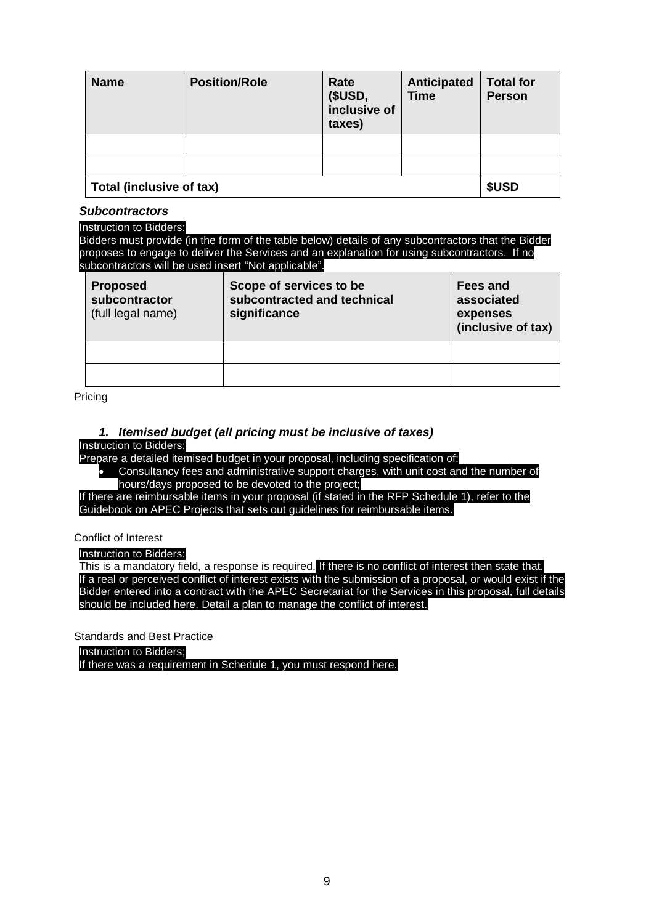| <b>Name</b>              | <b>Position/Role</b> | Rate<br>(\$USD,<br>inclusive of<br>taxes) | Anticipated<br><b>Time</b> | <b>Total for</b><br><b>Person</b> |
|--------------------------|----------------------|-------------------------------------------|----------------------------|-----------------------------------|
|                          |                      |                                           |                            |                                   |
|                          |                      |                                           |                            |                                   |
| Total (inclusive of tax) |                      |                                           | \$USD                      |                                   |

### *Subcontractors*

#### Instruction to Bidders:

Bidders must provide (in the form of the table below) details of any subcontractors that the Bidder proposes to engage to deliver the Services and an explanation for using subcontractors. If no subcontractors will be used insert "Not applicable".

| <b>Proposed</b><br>subcontractor<br>(full legal name) | Scope of services to be<br>subcontracted and technical<br>significance | Fees and<br>associated<br>expenses<br>(inclusive of tax) |
|-------------------------------------------------------|------------------------------------------------------------------------|----------------------------------------------------------|
|                                                       |                                                                        |                                                          |
|                                                       |                                                                        |                                                          |

Pricing

# *1. Itemised budget (all pricing must be inclusive of taxes)*

Instruction to Bidders:

Prepare a detailed itemised budget in your proposal, including specification of:

• Consultancy fees and administrative support charges, with unit cost and the number of hours/days proposed to be devoted to the project;

If there are reimbursable items in your proposal (if stated in the RFP Schedule 1), refer to the Guidebook on APEC Projects that sets out guidelines for reimbursable items.

Conflict of Interest

Instruction to Bidders:

This is a mandatory field, a response is required. If there is no conflict of interest then state that. If a real or perceived conflict of interest exists with the submission of a proposal, or would exist if the Bidder entered into a contract with the APEC Secretariat for the Services in this proposal, full details should be included here. Detail a plan to manage the conflict of interest.

Standards and Best Practice

Instruction to Bidders;

If there was a requirement in Schedule 1, you must respond here.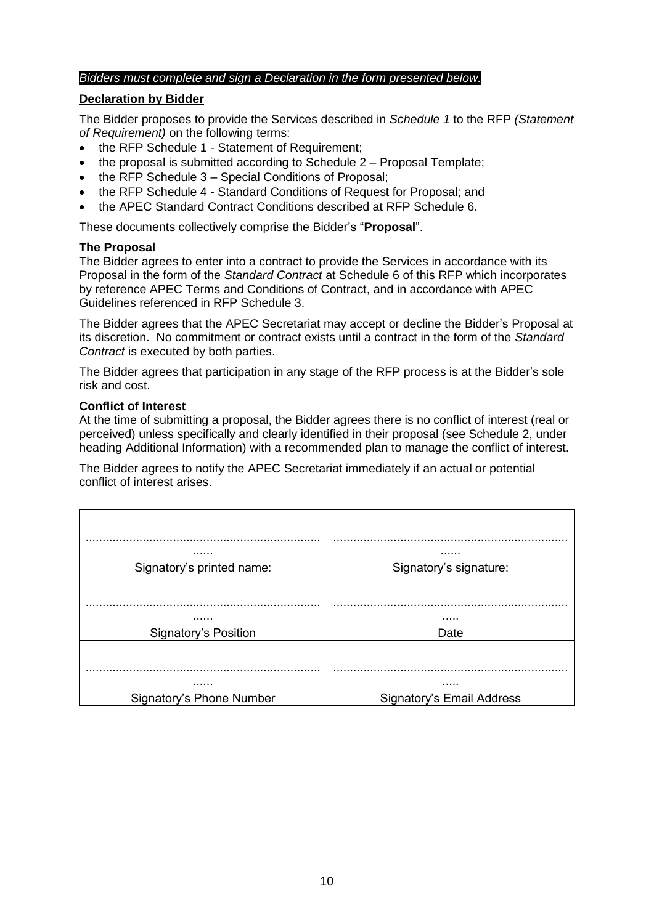### *Bidders must complete and sign a Declaration in the form presented below.*

### **Declaration by Bidder**

The Bidder proposes to provide the Services described in *Schedule 1* to the RFP *(Statement of Requirement)* on the following terms:

- the RFP Schedule 1 Statement of Requirement;
- the proposal is submitted according to Schedule  $2 -$  Proposal Template;
- the RFP Schedule 3 Special Conditions of Proposal;
- the RFP Schedule 4 Standard Conditions of Request for Proposal; and
- the APEC Standard Contract Conditions described at RFP Schedule 6.

These documents collectively comprise the Bidder's "**Proposal**".

### **The Proposal**

The Bidder agrees to enter into a contract to provide the Services in accordance with its Proposal in the form of the *Standard Contract* at Schedule 6 of this RFP which incorporates by reference APEC Terms and Conditions of Contract, and in accordance with APEC Guidelines referenced in RFP Schedule 3.

The Bidder agrees that the APEC Secretariat may accept or decline the Bidder's Proposal at its discretion. No commitment or contract exists until a contract in the form of the *Standard Contract* is executed by both parties.

The Bidder agrees that participation in any stage of the RFP process is at the Bidder's sole risk and cost.

### **Conflict of Interest**

At the time of submitting a proposal, the Bidder agrees there is no conflict of interest (real or perceived) unless specifically and clearly identified in their proposal (see Schedule 2, under heading Additional Information) with a recommended plan to manage the conflict of interest.

The Bidder agrees to notify the APEC Secretariat immediately if an actual or potential conflict of interest arises.

| .                               |                           |
|---------------------------------|---------------------------|
| Signatory's printed name:       | Signatory's signature:    |
|                                 |                           |
| .                               |                           |
| <b>Signatory's Position</b>     | Date                      |
|                                 |                           |
|                                 |                           |
| <b>Signatory's Phone Number</b> | Signatory's Email Address |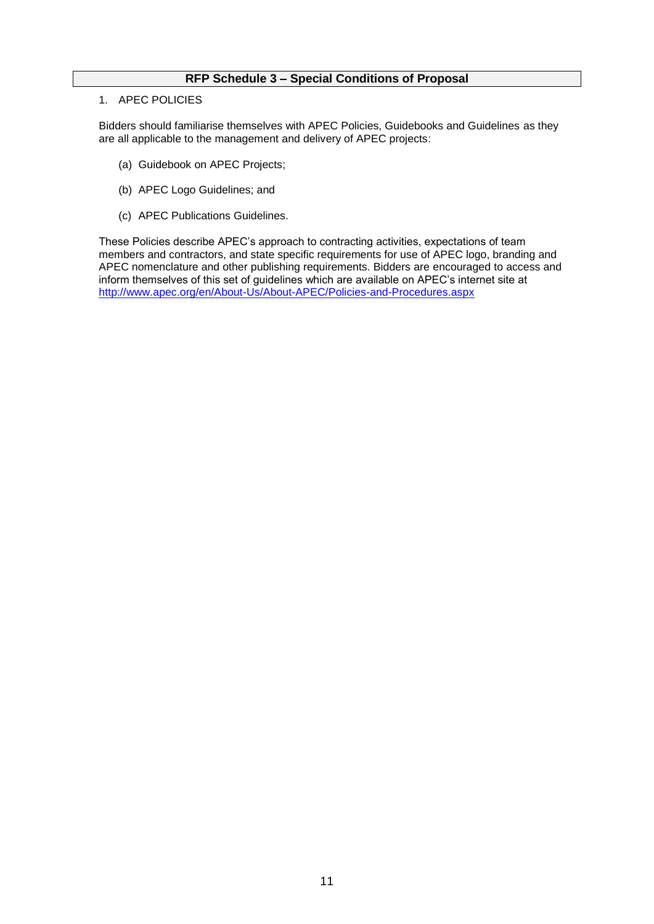### **RFP Schedule 3 – Special Conditions of Proposal**

#### 1. APEC POLICIES

Bidders should familiarise themselves with APEC Policies, Guidebooks and Guidelines as they are all applicable to the management and delivery of APEC projects:

- (a) Guidebook on APEC Projects;
- (b) APEC Logo Guidelines; and
- (c) APEC Publications Guidelines.

These Policies describe APEC's approach to contracting activities, expectations of team members and contractors, and state specific requirements for use of APEC logo, branding and APEC nomenclature and other publishing requirements. Bidders are encouraged to access and inform themselves of this set of guidelines which are available on APEC's internet site at <http://www.apec.org/en/About-Us/About-APEC/Policies-and-Procedures.aspx>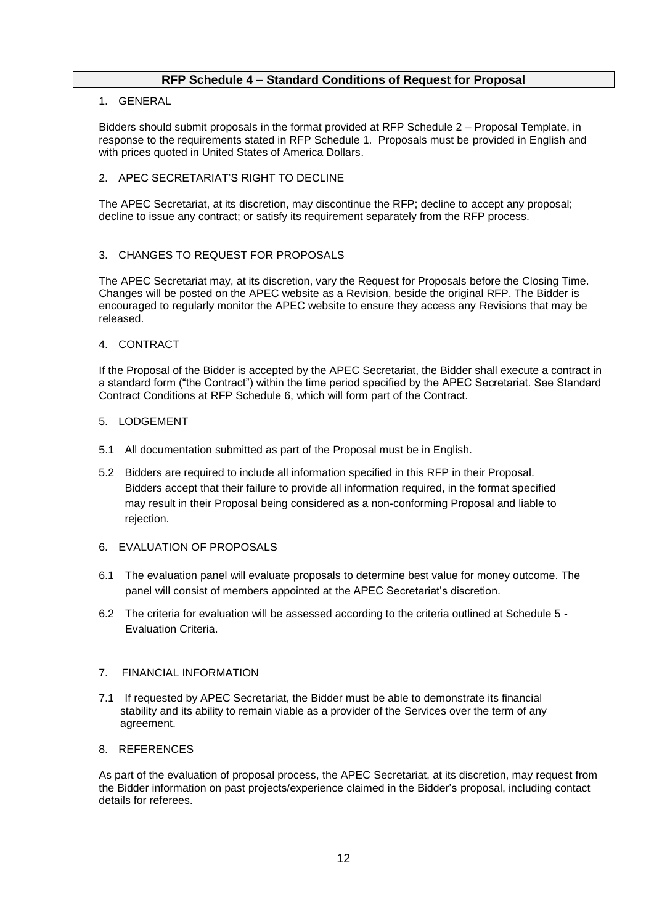### **RFP Schedule 4 – Standard Conditions of Request for Proposal**

### 1. GENERAL

Bidders should submit proposals in the format provided at RFP Schedule 2 – Proposal Template, in response to the requirements stated in RFP Schedule 1. Proposals must be provided in English and with prices quoted in United States of America Dollars.

### 2. APEC SECRETARIAT'S RIGHT TO DECLINE

The APEC Secretariat, at its discretion, may discontinue the RFP; decline to accept any proposal; decline to issue any contract; or satisfy its requirement separately from the RFP process.

### 3. CHANGES TO REQUEST FOR PROPOSALS

The APEC Secretariat may, at its discretion, vary the Request for Proposals before the Closing Time. Changes will be posted on the APEC website as a Revision, beside the original RFP. The Bidder is encouraged to regularly monitor the APEC website to ensure they access any Revisions that may be released.

#### 4. CONTRACT

If the Proposal of the Bidder is accepted by the APEC Secretariat, the Bidder shall execute a contract in a standard form ("the Contract") within the time period specified by the APEC Secretariat. See Standard Contract Conditions at RFP Schedule 6, which will form part of the Contract.

#### 5. LODGEMENT

- 5.1 All documentation submitted as part of the Proposal must be in English.
- 5.2 Bidders are required to include all information specified in this RFP in their Proposal. Bidders accept that their failure to provide all information required, in the format specified may result in their Proposal being considered as a non-conforming Proposal and liable to rejection.
- 6. EVALUATION OF PROPOSALS
- 6.1 The evaluation panel will evaluate proposals to determine best value for money outcome. The panel will consist of members appointed at the APEC Secretariat's discretion.
- 6.2 The criteria for evaluation will be assessed according to the criteria outlined at Schedule 5 Evaluation Criteria.

#### 7. FINANCIAL INFORMATION

7.1 If requested by APEC Secretariat, the Bidder must be able to demonstrate its financial stability and its ability to remain viable as a provider of the Services over the term of any agreement.

### 8. REFERENCES

As part of the evaluation of proposal process, the APEC Secretariat, at its discretion, may request from the Bidder information on past projects/experience claimed in the Bidder's proposal, including contact details for referees.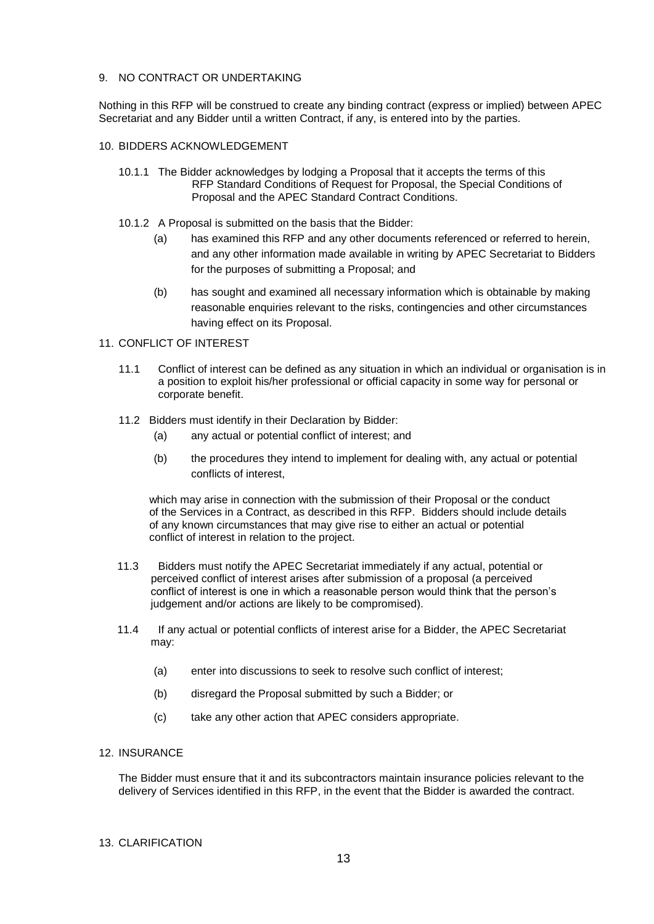#### 9. NO CONTRACT OR UNDERTAKING

Nothing in this RFP will be construed to create any binding contract (express or implied) between APEC Secretariat and any Bidder until a written Contract, if any, is entered into by the parties.

### 10. BIDDERS ACKNOWLEDGEMENT

- 10.1.1 The Bidder acknowledges by lodging a Proposal that it accepts the terms of this RFP Standard Conditions of Request for Proposal, the Special Conditions of Proposal and the APEC Standard Contract Conditions.
- 10.1.2 A Proposal is submitted on the basis that the Bidder:
	- (a) has examined this RFP and any other documents referenced or referred to herein, and any other information made available in writing by APEC Secretariat to Bidders for the purposes of submitting a Proposal; and
	- (b) has sought and examined all necessary information which is obtainable by making reasonable enquiries relevant to the risks, contingencies and other circumstances having effect on its Proposal.

### 11. CONFLICT OF INTEREST

- 11.1 Conflict of interest can be defined as any situation in which an individual or organisation is in a position to exploit his/her professional or official capacity in some way for personal or corporate benefit.
- 11.2 Bidders must identify in their Declaration by Bidder:
	- (a) any actual or potential conflict of interest; and
	- (b) the procedures they intend to implement for dealing with, any actual or potential conflicts of interest,

 which may arise in connection with the submission of their Proposal or the conduct of the Services in a Contract, as described in this RFP. Bidders should include details of any known circumstances that may give rise to either an actual or potential conflict of interest in relation to the project.

- 11.3 Bidders must notify the APEC Secretariat immediately if any actual, potential or perceived conflict of interest arises after submission of a proposal (a perceived conflict of interest is one in which a reasonable person would think that the person's judgement and/or actions are likely to be compromised).
- 11.4 If any actual or potential conflicts of interest arise for a Bidder, the APEC Secretariat may:
	- (a) enter into discussions to seek to resolve such conflict of interest;
	- (b) disregard the Proposal submitted by such a Bidder; or
	- (c) take any other action that APEC considers appropriate.

#### 12. INSURANCE

The Bidder must ensure that it and its subcontractors maintain insurance policies relevant to the delivery of Services identified in this RFP, in the event that the Bidder is awarded the contract.

#### 13. CLARIFICATION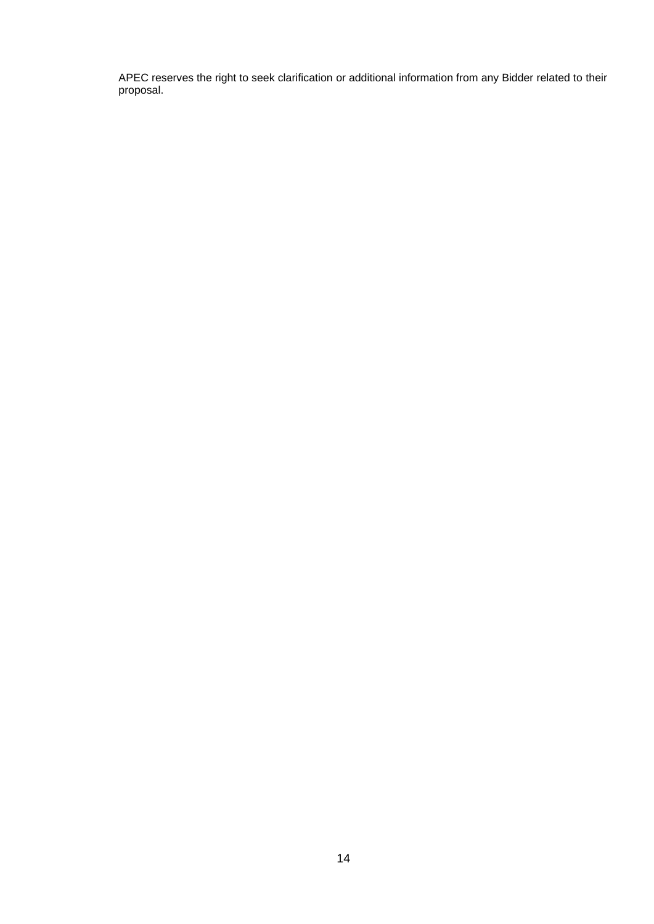APEC reserves the right to seek clarification or additional information from any Bidder related to their proposal.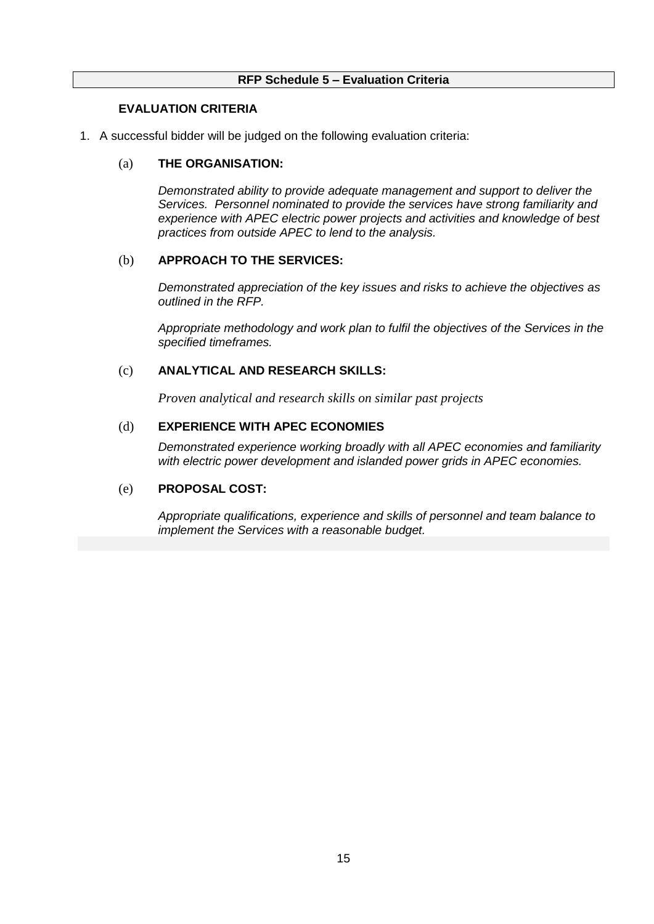## **RFP Schedule 5 – Evaluation Criteria**

## **EVALUATION CRITERIA**

1. A successful bidder will be judged on the following evaluation criteria:

## (a) **THE ORGANISATION:**

*Demonstrated ability to provide adequate management and support to deliver the Services. Personnel nominated to provide the services have strong familiarity and experience with APEC electric power projects and activities and knowledge of best practices from outside APEC to lend to the analysis.*

### (b) **APPROACH TO THE SERVICES:**

*Demonstrated appreciation of the key issues and risks to achieve the objectives as outlined in the RFP.* 

*Appropriate methodology and work plan to fulfil the objectives of the Services in the specified timeframes.* 

## (c) **ANALYTICAL AND RESEARCH SKILLS:**

*Proven analytical and research skills on similar past projects*

## (d) **EXPERIENCE WITH APEC ECONOMIES**

*Demonstrated experience working broadly with all APEC economies and familiarity with electric power development and islanded power grids in APEC economies.*

## (e) **PROPOSAL COST:**

*Appropriate qualifications, experience and skills of personnel and team balance to implement the Services with a reasonable budget.*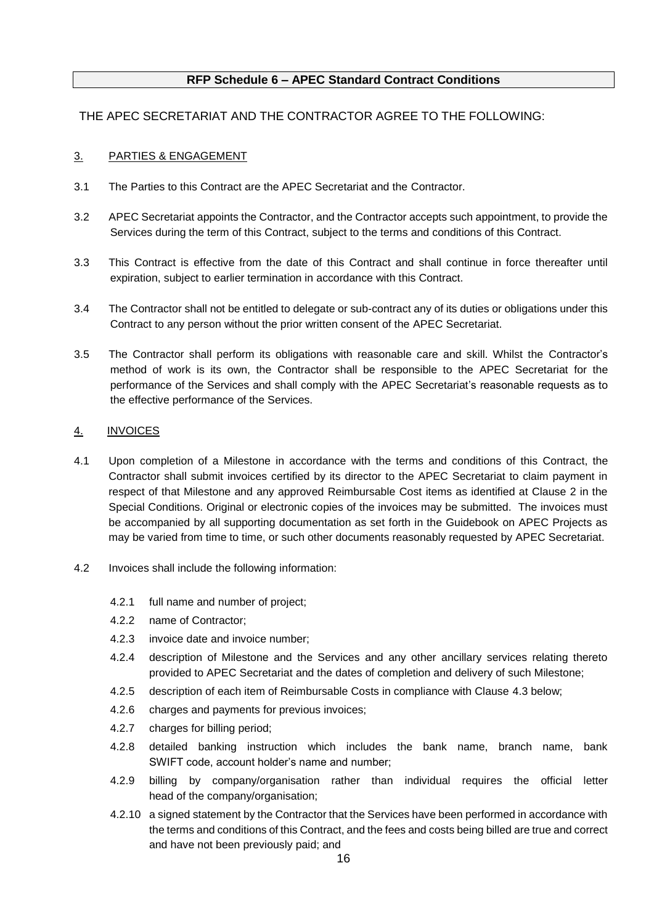## **RFP Schedule 6 – APEC Standard Contract Conditions**

## THE APEC SECRETARIAT AND THE CONTRACTOR AGREE TO THE FOLLOWING:

### 3. PARTIES & ENGAGEMENT

- 3.1 The Parties to this Contract are the APEC Secretariat and the Contractor.
- 3.2 APEC Secretariat appoints the Contractor, and the Contractor accepts such appointment, to provide the Services during the term of this Contract, subject to the terms and conditions of this Contract.
- 3.3 This Contract is effective from the date of this Contract and shall continue in force thereafter until expiration, subject to earlier termination in accordance with this Contract.
- 3.4 The Contractor shall not be entitled to delegate or sub-contract any of its duties or obligations under this Contract to any person without the prior written consent of the APEC Secretariat.
- 3.5 The Contractor shall perform its obligations with reasonable care and skill. Whilst the Contractor's method of work is its own, the Contractor shall be responsible to the APEC Secretariat for the performance of the Services and shall comply with the APEC Secretariat's reasonable requests as to the effective performance of the Services.

### 4. INVOICES

- 4.1 Upon completion of a Milestone in accordance with the terms and conditions of this Contract, the Contractor shall submit invoices certified by its director to the APEC Secretariat to claim payment in respect of that Milestone and any approved Reimbursable Cost items as identified at Clause 2 in the Special Conditions. Original or electronic copies of the invoices may be submitted. The invoices must be accompanied by all supporting documentation as set forth in the Guidebook on APEC Projects as may be varied from time to time, or such other documents reasonably requested by APEC Secretariat.
- 4.2 Invoices shall include the following information:
	- 4.2.1 full name and number of project;
	- 4.2.2 name of Contractor;
	- 4.2.3 invoice date and invoice number;
	- 4.2.4 description of Milestone and the Services and any other ancillary services relating thereto provided to APEC Secretariat and the dates of completion and delivery of such Milestone;
	- 4.2.5 description of each item of Reimbursable Costs in compliance with Clause [4.3](#page-16-0) below;
	- 4.2.6 charges and payments for previous invoices;
	- 4.2.7 charges for billing period;
	- 4.2.8 detailed banking instruction which includes the bank name, branch name, bank SWIFT code, account holder's name and number;
	- 4.2.9 billing by company/organisation rather than individual requires the official letter head of the company/organisation;
	- 4.2.10 a signed statement by the Contractor that the Services have been performed in accordance with the terms and conditions of this Contract, and the fees and costs being billed are true and correct and have not been previously paid; and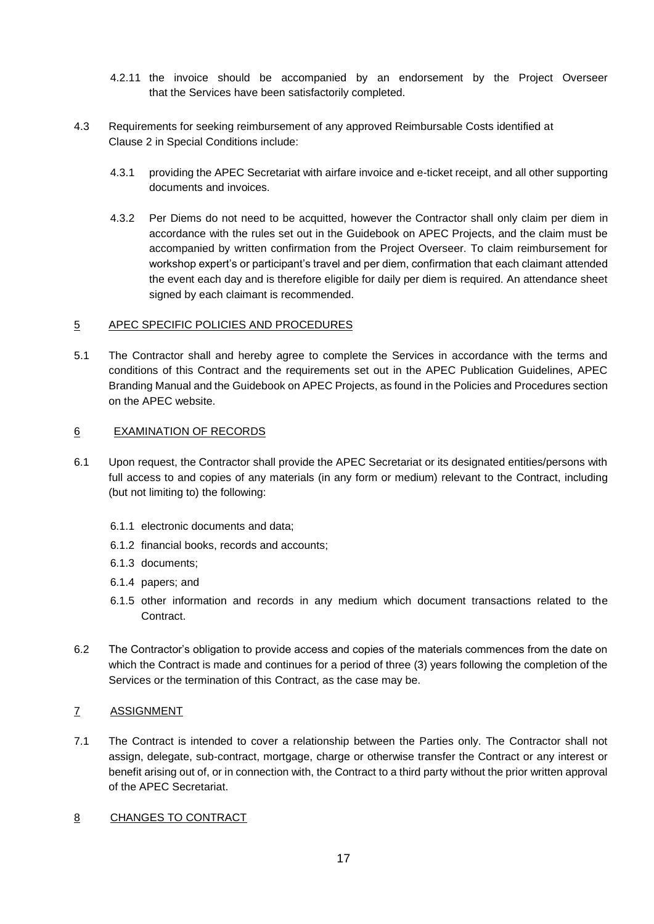- 4.2.11 the invoice should be accompanied by an endorsement by the Project Overseer that the Services have been satisfactorily completed.
- <span id="page-16-0"></span>4.3 Requirements for seeking reimbursement of any approved Reimbursable Costs identified at Clause 2 in Special Conditions include:
	- 4.3.1 providing the APEC Secretariat with airfare invoice and e-ticket receipt, and all other supporting documents and invoices.
	- 4.3.2 Per Diems do not need to be acquitted, however the Contractor shall only claim per diem in accordance with the rules set out in the Guidebook on APEC Projects, and the claim must be accompanied by written confirmation from the Project Overseer. To claim reimbursement for workshop expert's or participant's travel and per diem, confirmation that each claimant attended the event each day and is therefore eligible for daily per diem is required. An attendance sheet signed by each claimant is recommended.

### 5 APEC SPECIFIC POLICIES AND PROCEDURES

5.1 The Contractor shall and hereby agree to complete the Services in accordance with the terms and conditions of this Contract and the requirements set out in the APEC Publication Guidelines, APEC Branding Manual and the Guidebook on APEC Projects, as found in the Policies and Procedures section on the APEC website.

### 6 EXAMINATION OF RECORDS

- 6.1 Upon request, the Contractor shall provide the APEC Secretariat or its designated entities/persons with full access to and copies of any materials (in any form or medium) relevant to the Contract, including (but not limiting to) the following:
	- 6.1.1 electronic documents and data;
	- 6.1.2 financial books, records and accounts;
	- 6.1.3 documents;
	- 6.1.4 papers; and
	- 6.1.5 other information and records in any medium which document transactions related to the Contract.
- 6.2 The Contractor's obligation to provide access and copies of the materials commences from the date on which the Contract is made and continues for a period of three (3) years following the completion of the Services or the termination of this Contract, as the case may be.

### 7 ASSIGNMENT

- 7.1 The Contract is intended to cover a relationship between the Parties only. The Contractor shall not assign, delegate, sub-contract, mortgage, charge or otherwise transfer the Contract or any interest or benefit arising out of, or in connection with, the Contract to a third party without the prior written approval of the APEC Secretariat.
- <span id="page-16-1"></span>8 CHANGES TO CONTRACT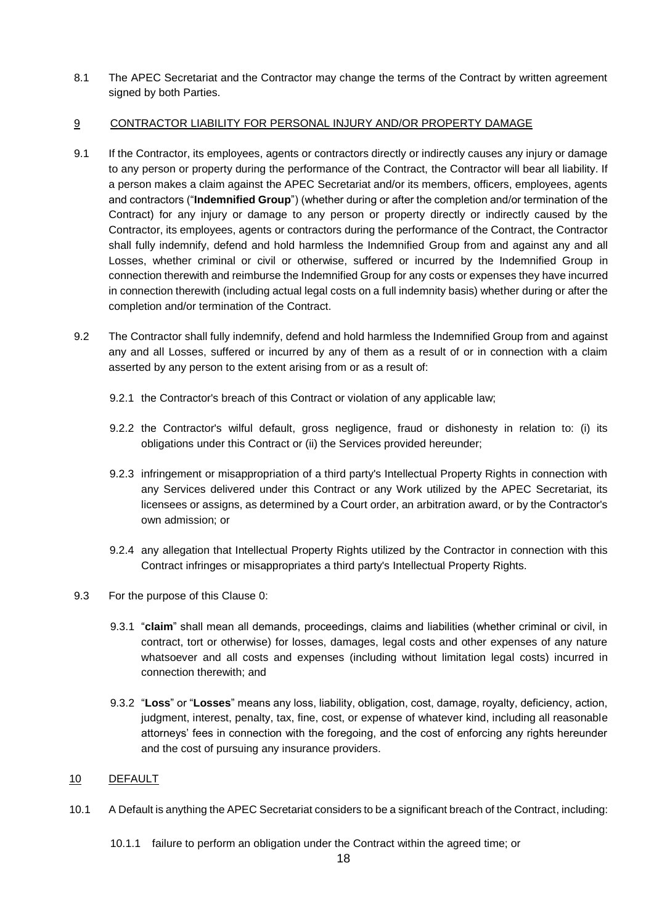8.1 The APEC Secretariat and the Contractor may change the terms of the Contract by written agreement signed by both Parties.

### <span id="page-17-0"></span>9 CONTRACTOR LIABILITY FOR PERSONAL INJURY AND/OR PROPERTY DAMAGE

- 9.1 If the Contractor, its employees, agents or contractors directly or indirectly causes any injury or damage to any person or property during the performance of the Contract, the Contractor will bear all liability. If a person makes a claim against the APEC Secretariat and/or its members, officers, employees, agents and contractors ("**Indemnified Group**") (whether during or after the completion and/or termination of the Contract) for any injury or damage to any person or property directly or indirectly caused by the Contractor, its employees, agents or contractors during the performance of the Contract, the Contractor shall fully indemnify, defend and hold harmless the Indemnified Group from and against any and all Losses, whether criminal or civil or otherwise, suffered or incurred by the Indemnified Group in connection therewith and reimburse the Indemnified Group for any costs or expenses they have incurred in connection therewith (including actual legal costs on a full indemnity basis) whether during or after the completion and/or termination of the Contract.
- 9.2 The Contractor shall fully indemnify, defend and hold harmless the Indemnified Group from and against any and all Losses, suffered or incurred by any of them as a result of or in connection with a claim asserted by any person to the extent arising from or as a result of:
	- 9.2.1 the Contractor's breach of this Contract or violation of any applicable law;
	- 9.2.2 the Contractor's wilful default, gross negligence, fraud or dishonesty in relation to: (i) its obligations under this Contract or (ii) the Services provided hereunder;
	- 9.2.3 infringement or misappropriation of a third party's Intellectual Property Rights in connection with any Services delivered under this Contract or any Work utilized by the APEC Secretariat, its licensees or assigns, as determined by a Court order, an arbitration award, or by the Contractor's own admission; or
	- 9.2.4 any allegation that Intellectual Property Rights utilized by the Contractor in connection with this Contract infringes or misappropriates a third party's Intellectual Property Rights.
- 9.3 For the purpose of this Clause [0:](#page-17-0)
	- 9.3.1 "**claim**" shall mean all demands, proceedings, claims and liabilities (whether criminal or civil, in contract, tort or otherwise) for losses, damages, legal costs and other expenses of any nature whatsoever and all costs and expenses (including without limitation legal costs) incurred in connection therewith; and
	- 9.3.2 "**Loss**" or "**Losses**" means any loss, liability, obligation, cost, damage, royalty, deficiency, action, judgment, interest, penalty, tax, fine, cost, or expense of whatever kind, including all reasonable attorneys' fees in connection with the foregoing, and the cost of enforcing any rights hereunder and the cost of pursuing any insurance providers.

### 10 DEFAULT

- 10.1 A Default is anything the APEC Secretariat considers to be a significant breach of the Contract, including:
	- 10.1.1 failure to perform an obligation under the Contract within the agreed time; or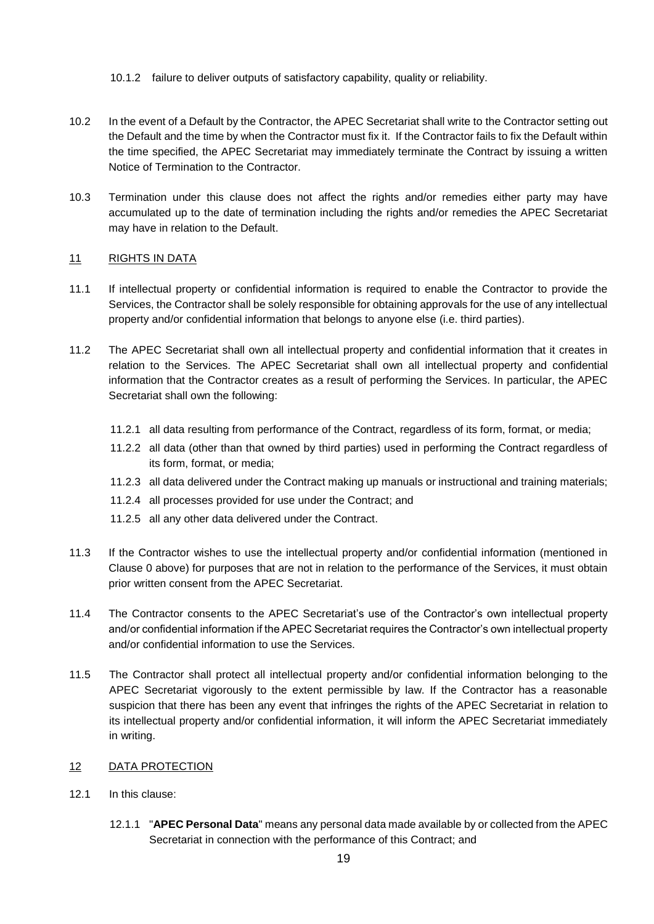- 10.1.2 failure to deliver outputs of satisfactory capability, quality or reliability.
- 10.2 In the event of a Default by the Contractor, the APEC Secretariat shall write to the Contractor setting out the Default and the time by when the Contractor must fix it. If the Contractor fails to fix the Default within the time specified, the APEC Secretariat may immediately terminate the Contract by issuing a written Notice of Termination to the Contractor.
- 10.3 Termination under this clause does not affect the rights and/or remedies either party may have accumulated up to the date of termination including the rights and/or remedies the APEC Secretariat may have in relation to the Default.

### 11 RIGHTS IN DATA

- 11.1 If intellectual property or confidential information is required to enable the Contractor to provide the Services, the Contractor shall be solely responsible for obtaining approvals for the use of any intellectual property and/or confidential information that belongs to anyone else (i.e. third parties).
- <span id="page-18-0"></span>11.2 The APEC Secretariat shall own all intellectual property and confidential information that it creates in relation to the Services. The APEC Secretariat shall own all intellectual property and confidential information that the Contractor creates as a result of performing the Services. In particular, the APEC Secretariat shall own the following:
	- 11.2.1 all data resulting from performance of the Contract, regardless of its form, format, or media;
	- 11.2.2 all data (other than that owned by third parties) used in performing the Contract regardless of its form, format, or media;
	- 11.2.3 all data delivered under the Contract making up manuals or instructional and training materials;
	- 11.2.4 all processes provided for use under the Contract; and
	- 11.2.5 all any other data delivered under the Contract.
- 11.3 If the Contractor wishes to use the intellectual property and/or confidential information (mentioned in Clause [0](#page-18-0) above) for purposes that are not in relation to the performance of the Services, it must obtain prior written consent from the APEC Secretariat.
- 11.4 The Contractor consents to the APEC Secretariat's use of the Contractor's own intellectual property and/or confidential information if the APEC Secretariat requires the Contractor's own intellectual property and/or confidential information to use the Services.
- 11.5 The Contractor shall protect all intellectual property and/or confidential information belonging to the APEC Secretariat vigorously to the extent permissible by law. If the Contractor has a reasonable suspicion that there has been any event that infringes the rights of the APEC Secretariat in relation to its intellectual property and/or confidential information, it will inform the APEC Secretariat immediately in writing.
- <span id="page-18-1"></span>12 DATA PROTECTION
- 12.1 In this clause:
	- 12.1.1 "**APEC Personal Data**" means any personal data made available by or collected from the APEC Secretariat in connection with the performance of this Contract; and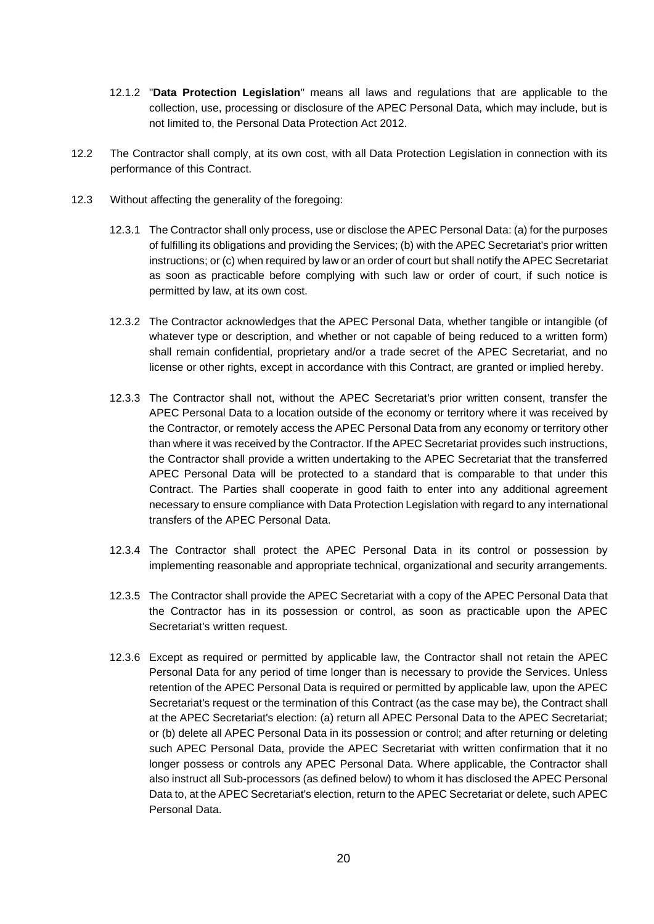- 12.1.2 "**Data Protection Legislation**" means all laws and regulations that are applicable to the collection, use, processing or disclosure of the APEC Personal Data, which may include, but is not limited to, the Personal Data Protection Act 2012.
- 12.2 The Contractor shall comply, at its own cost, with all Data Protection Legislation in connection with its performance of this Contract.
- 12.3 Without affecting the generality of the foregoing:
	- 12.3.1 The Contractor shall only process, use or disclose the APEC Personal Data: (a) for the purposes of fulfilling its obligations and providing the Services; (b) with the APEC Secretariat's prior written instructions; or (c) when required by law or an order of court but shall notify the APEC Secretariat as soon as practicable before complying with such law or order of court, if such notice is permitted by law, at its own cost.
	- 12.3.2 The Contractor acknowledges that the APEC Personal Data, whether tangible or intangible (of whatever type or description, and whether or not capable of being reduced to a written form) shall remain confidential, proprietary and/or a trade secret of the APEC Secretariat, and no license or other rights, except in accordance with this Contract, are granted or implied hereby.
	- 12.3.3 The Contractor shall not, without the APEC Secretariat's prior written consent, transfer the APEC Personal Data to a location outside of the economy or territory where it was received by the Contractor, or remotely access the APEC Personal Data from any economy or territory other than where it was received by the Contractor. If the APEC Secretariat provides such instructions, the Contractor shall provide a written undertaking to the APEC Secretariat that the transferred APEC Personal Data will be protected to a standard that is comparable to that under this Contract. The Parties shall cooperate in good faith to enter into any additional agreement necessary to ensure compliance with Data Protection Legislation with regard to any international transfers of the APEC Personal Data.
	- 12.3.4 The Contractor shall protect the APEC Personal Data in its control or possession by implementing reasonable and appropriate technical, organizational and security arrangements.
	- 12.3.5 The Contractor shall provide the APEC Secretariat with a copy of the APEC Personal Data that the Contractor has in its possession or control, as soon as practicable upon the APEC Secretariat's written request.
	- 12.3.6 Except as required or permitted by applicable law, the Contractor shall not retain the APEC Personal Data for any period of time longer than is necessary to provide the Services. Unless retention of the APEC Personal Data is required or permitted by applicable law, upon the APEC Secretariat's request or the termination of this Contract (as the case may be), the Contract shall at the APEC Secretariat's election: (a) return all APEC Personal Data to the APEC Secretariat; or (b) delete all APEC Personal Data in its possession or control; and after returning or deleting such APEC Personal Data, provide the APEC Secretariat with written confirmation that it no longer possess or controls any APEC Personal Data. Where applicable, the Contractor shall also instruct all Sub-processors (as defined below) to whom it has disclosed the APEC Personal Data to, at the APEC Secretariat's election, return to the APEC Secretariat or delete, such APEC Personal Data.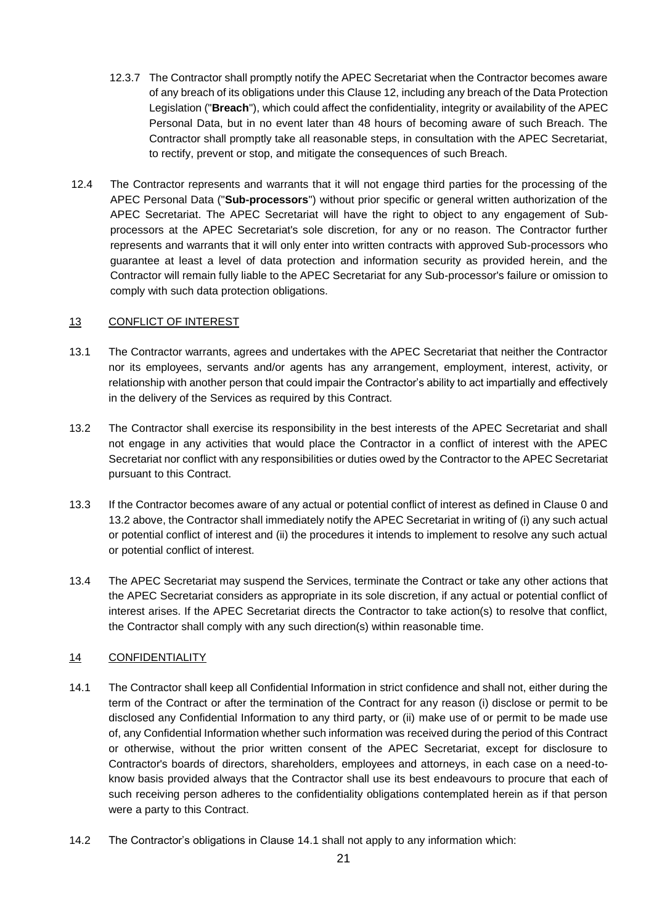- 12.3.7 The Contractor shall promptly notify the APEC Secretariat when the Contractor becomes aware of any breach of its obligations under this Claus[e 12,](#page-18-1) including any breach of the Data Protection Legislation ("**Breach**"), which could affect the confidentiality, integrity or availability of the APEC Personal Data, but in no event later than 48 hours of becoming aware of such Breach. The Contractor shall promptly take all reasonable steps, in consultation with the APEC Secretariat, to rectify, prevent or stop, and mitigate the consequences of such Breach.
- 12.4 The Contractor represents and warrants that it will not engage third parties for the processing of the APEC Personal Data ("**Sub-processors**") without prior specific or general written authorization of the APEC Secretariat. The APEC Secretariat will have the right to object to any engagement of Subprocessors at the APEC Secretariat's sole discretion, for any or no reason. The Contractor further represents and warrants that it will only enter into written contracts with approved Sub-processors who guarantee at least a level of data protection and information security as provided herein, and the Contractor will remain fully liable to the APEC Secretariat for any Sub-processor's failure or omission to comply with such data protection obligations.

### 13 CONFLICT OF INTEREST

- <span id="page-20-0"></span>13.1 The Contractor warrants, agrees and undertakes with the APEC Secretariat that neither the Contractor nor its employees, servants and/or agents has any arrangement, employment, interest, activity, or relationship with another person that could impair the Contractor's ability to act impartially and effectively in the delivery of the Services as required by this Contract.
- <span id="page-20-1"></span>13.2 The Contractor shall exercise its responsibility in the best interests of the APEC Secretariat and shall not engage in any activities that would place the Contractor in a conflict of interest with the APEC Secretariat nor conflict with any responsibilities or duties owed by the Contractor to the APEC Secretariat pursuant to this Contract.
- 13.3 If the Contractor becomes aware of any actual or potential conflict of interest as defined in Claus[e 0](#page-20-0) and [13.2](#page-20-1) above, the Contractor shall immediately notify the APEC Secretariat in writing of (i) any such actual or potential conflict of interest and (ii) the procedures it intends to implement to resolve any such actual or potential conflict of interest.
- 13.4 The APEC Secretariat may suspend the Services, terminate the Contract or take any other actions that the APEC Secretariat considers as appropriate in its sole discretion, if any actual or potential conflict of interest arises. If the APEC Secretariat directs the Contractor to take action(s) to resolve that conflict, the Contractor shall comply with any such direction(s) within reasonable time.

## <span id="page-20-3"></span>14 CONFIDENTIALITY

- <span id="page-20-2"></span>14.1 The Contractor shall keep all Confidential Information in strict confidence and shall not, either during the term of the Contract or after the termination of the Contract for any reason (i) disclose or permit to be disclosed any Confidential Information to any third party, or (ii) make use of or permit to be made use of, any Confidential Information whether such information was received during the period of this Contract or otherwise, without the prior written consent of the APEC Secretariat, except for disclosure to Contractor's boards of directors, shareholders, employees and attorneys, in each case on a need-toknow basis provided always that the Contractor shall use its best endeavours to procure that each of such receiving person adheres to the confidentiality obligations contemplated herein as if that person were a party to this Contract.
- 14.2 The Contractor's obligations in Clause [14.1](#page-20-2) shall not apply to any information which: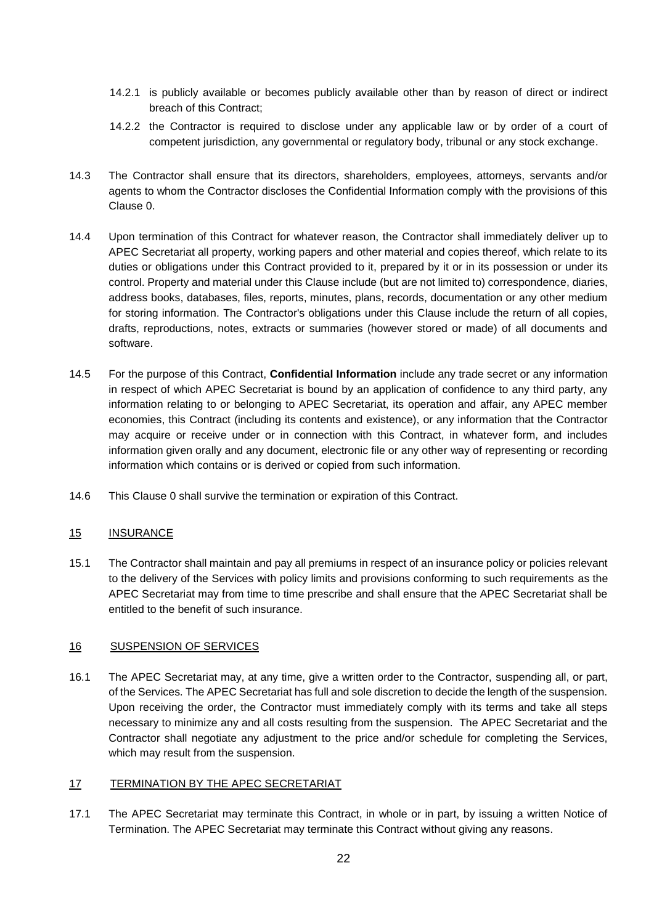- 14.2.1 is publicly available or becomes publicly available other than by reason of direct or indirect breach of this Contract;
- 14.2.2 the Contractor is required to disclose under any applicable law or by order of a court of competent jurisdiction, any governmental or regulatory body, tribunal or any stock exchange.
- 14.3 The Contractor shall ensure that its directors, shareholders, employees, attorneys, servants and/or agents to whom the Contractor discloses the Confidential Information comply with the provisions of this Clause [0.](#page-20-3)
- 14.4 Upon termination of this Contract for whatever reason, the Contractor shall immediately deliver up to APEC Secretariat all property, working papers and other material and copies thereof, which relate to its duties or obligations under this Contract provided to it, prepared by it or in its possession or under its control. Property and material under this Clause include (but are not limited to) correspondence, diaries, address books, databases, files, reports, minutes, plans, records, documentation or any other medium for storing information. The Contractor's obligations under this Clause include the return of all copies, drafts, reproductions, notes, extracts or summaries (however stored or made) of all documents and software.
- 14.5 For the purpose of this Contract, **Confidential Information** include any trade secret or any information in respect of which APEC Secretariat is bound by an application of confidence to any third party, any information relating to or belonging to APEC Secretariat, its operation and affair, any APEC member economies, this Contract (including its contents and existence), or any information that the Contractor may acquire or receive under or in connection with this Contract, in whatever form, and includes information given orally and any document, electronic file or any other way of representing or recording information which contains or is derived or copied from such information.
- 14.6 This Clause [0](#page-20-3) shall survive the termination or expiration of this Contract.

### 15 INSURANCE

15.1 The Contractor shall maintain and pay all premiums in respect of an insurance policy or policies relevant to the delivery of the Services with policy limits and provisions conforming to such requirements as the APEC Secretariat may from time to time prescribe and shall ensure that the APEC Secretariat shall be entitled to the benefit of such insurance.

### <span id="page-21-2"></span>16 SUSPENSION OF SERVICES

16.1 The APEC Secretariat may, at any time, give a written order to the Contractor, suspending all, or part, of the Services. The APEC Secretariat has full and sole discretion to decide the length of the suspension. Upon receiving the order, the Contractor must immediately comply with its terms and take all steps necessary to minimize any and all costs resulting from the suspension. The APEC Secretariat and the Contractor shall negotiate any adjustment to the price and/or schedule for completing the Services, which may result from the suspension.

#### <span id="page-21-0"></span>17 TERMINATION BY THE APEC SECRETARIAT

<span id="page-21-1"></span>17.1 The APEC Secretariat may terminate this Contract, in whole or in part, by issuing a written Notice of Termination. The APEC Secretariat may terminate this Contract without giving any reasons.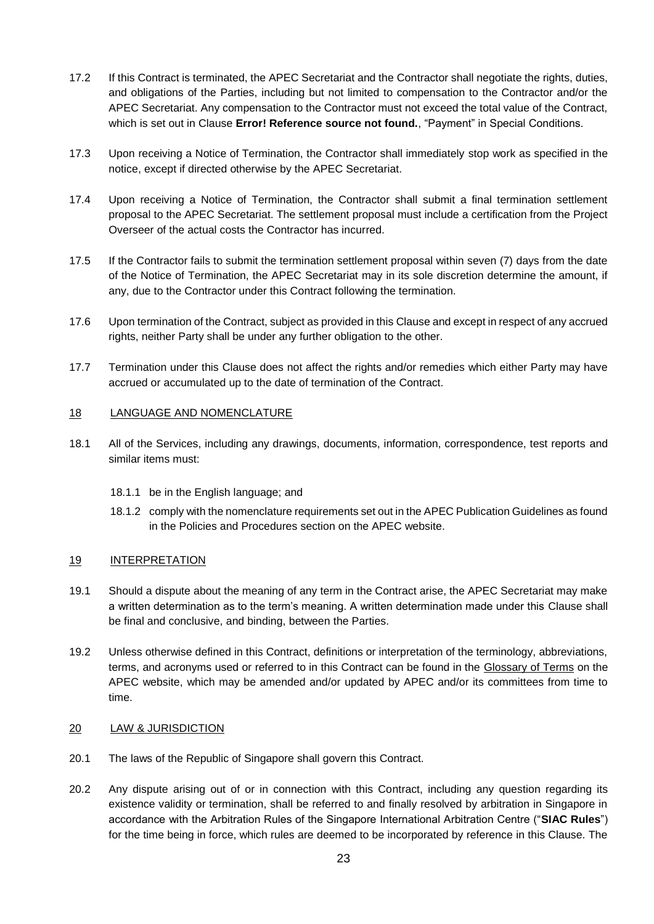- 17.2 If this Contract is terminated, the APEC Secretariat and the Contractor shall negotiate the rights, duties, and obligations of the Parties, including but not limited to compensation to the Contractor and/or the APEC Secretariat. Any compensation to the Contractor must not exceed the total value of the Contract, which is set out in Clause **Error! Reference source not found.**, "Payment" in Special Conditions.
- 17.3 Upon receiving a Notice of Termination, the Contractor shall immediately stop work as specified in the notice, except if directed otherwise by the APEC Secretariat.
- 17.4 Upon receiving a Notice of Termination, the Contractor shall submit a final termination settlement proposal to the APEC Secretariat. The settlement proposal must include a certification from the Project Overseer of the actual costs the Contractor has incurred.
- 17.5 If the Contractor fails to submit the termination settlement proposal within seven (7) days from the date of the Notice of Termination, the APEC Secretariat may in its sole discretion determine the amount, if any, due to the Contractor under this Contract following the termination.
- 17.6 Upon termination of the Contract, subject as provided in this Clause and except in respect of any accrued rights, neither Party shall be under any further obligation to the other.
- 17.7 Termination under this Clause does not affect the rights and/or remedies which either Party may have accrued or accumulated up to the date of termination of the Contract.

### 18 LANGUAGE AND NOMENCLATURE

- 18.1 All of the Services, including any drawings, documents, information, correspondence, test reports and similar items must:
	- 18.1.1 be in the English language; and
	- 18.1.2 comply with the nomenclature requirements set out in the APEC Publication Guidelines as found in the Policies and Procedures section on the APEC website.

#### 19 INTERPRETATION

- 19.1 Should a dispute about the meaning of any term in the Contract arise, the APEC Secretariat may make a written determination as to the term's meaning. A written determination made under this Clause shall be final and conclusive, and binding, between the Parties.
- 19.2 Unless otherwise defined in this Contract, definitions or interpretation of the terminology, abbreviations, terms, and acronyms used or referred to in this Contract can be found in the [Glossary of Terms](https://www.apec.org/Glossary.aspx) on the APEC website, which may be amended and/or updated by APEC and/or its committees from time to time.

#### 20 LAW & JURISDICTION

- 20.1 The laws of the Republic of Singapore shall govern this Contract.
- 20.2 Any dispute arising out of or in connection with this Contract, including any question regarding its existence validity or termination, shall be referred to and finally resolved by arbitration in Singapore in accordance with the Arbitration Rules of the Singapore International Arbitration Centre ("**SIAC Rules**") for the time being in force, which rules are deemed to be incorporated by reference in this Clause. The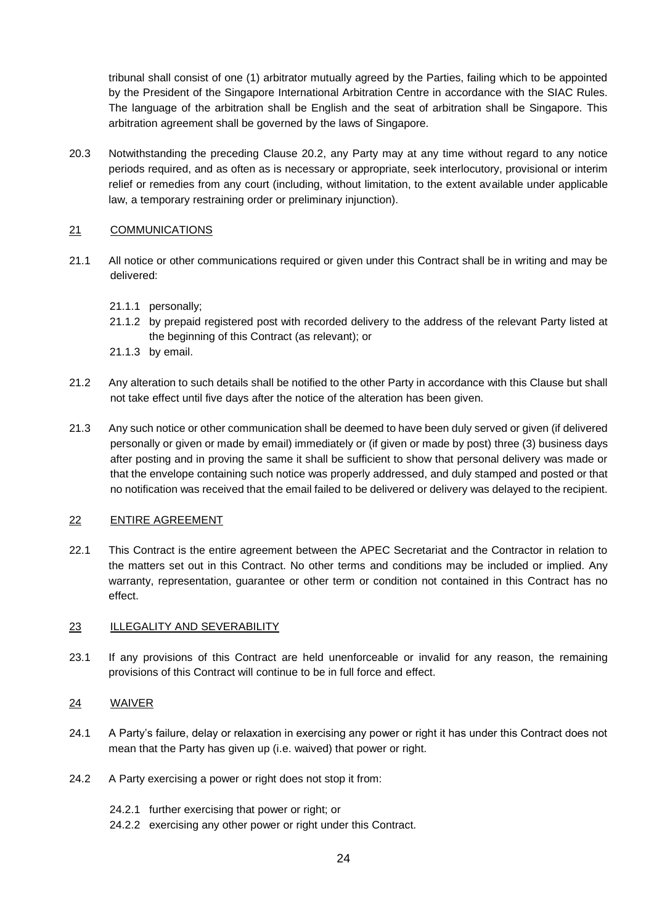tribunal shall consist of one (1) arbitrator mutually agreed by the Parties, failing which to be appointed by the President of the Singapore International Arbitration Centre in accordance with the SIAC Rules. The language of the arbitration shall be English and the seat of arbitration shall be Singapore. This arbitration agreement shall be governed by the laws of Singapore.

20.3 Notwithstanding the preceding Clause 20.2, any Party may at any time without regard to any notice periods required, and as often as is necessary or appropriate, seek interlocutory, provisional or interim relief or remedies from any court (including, without limitation, to the extent available under applicable law, a temporary restraining order or preliminary injunction).

### 21 COMMUNICATIONS

- 21.1 All notice or other communications required or given under this Contract shall be in writing and may be delivered:
	- 21.1.1 personally;
	- 21.1.2 by prepaid registered post with recorded delivery to the address of the relevant Party listed at the beginning of this Contract (as relevant); or
	- 21.1.3 by email.
- 21.2 Any alteration to such details shall be notified to the other Party in accordance with this Clause but shall not take effect until five days after the notice of the alteration has been given.
- 21.3 Any such notice or other communication shall be deemed to have been duly served or given (if delivered personally or given or made by email) immediately or (if given or made by post) three (3) business days after posting and in proving the same it shall be sufficient to show that personal delivery was made or that the envelope containing such notice was properly addressed, and duly stamped and posted or that no notification was received that the email failed to be delivered or delivery was delayed to the recipient.

#### 22 ENTIRE AGREEMENT

22.1 This Contract is the entire agreement between the APEC Secretariat and the Contractor in relation to the matters set out in this Contract. No other terms and conditions may be included or implied. Any warranty, representation, guarantee or other term or condition not contained in this Contract has no effect.

#### 23 ILLEGALITY AND SEVERABILITY

23.1 If any provisions of this Contract are held unenforceable or invalid for any reason, the remaining provisions of this Contract will continue to be in full force and effect.

### 24 WAIVER

- 24.1 A Party's failure, delay or relaxation in exercising any power or right it has under this Contract does not mean that the Party has given up (i.e. waived) that power or right.
- 24.2 A Party exercising a power or right does not stop it from:
	- 24.2.1 further exercising that power or right; or
	- 24.2.2 exercising any other power or right under this Contract.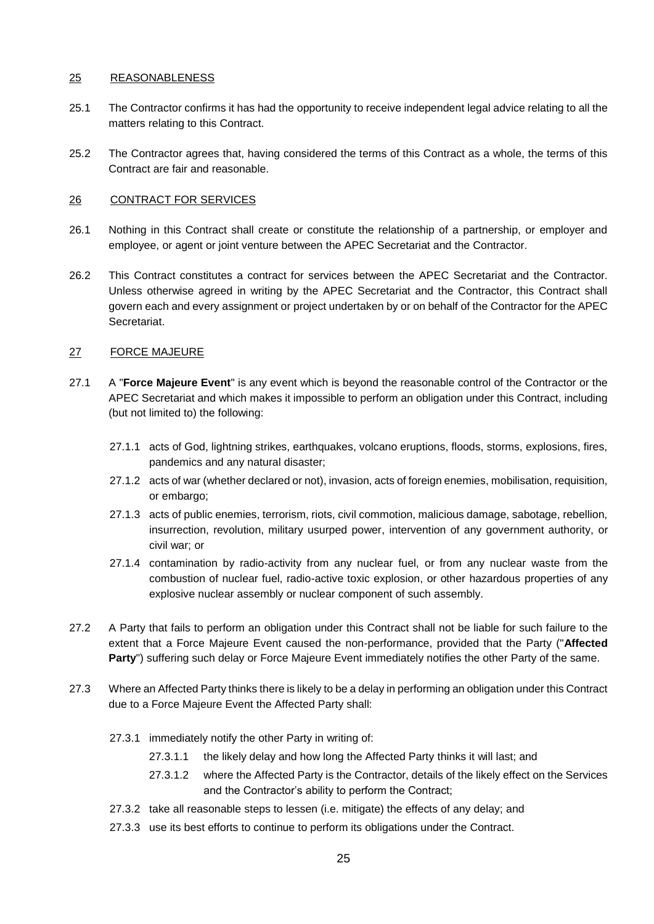### 25 REASONABLENESS

- 25.1 The Contractor confirms it has had the opportunity to receive independent legal advice relating to all the matters relating to this Contract.
- 25.2 The Contractor agrees that, having considered the terms of this Contract as a whole, the terms of this Contract are fair and reasonable.

### 26 CONTRACT FOR SERVICES

- 26.1 Nothing in this Contract shall create or constitute the relationship of a partnership, or employer and employee, or agent or joint venture between the APEC Secretariat and the Contractor.
- 26.2 This Contract constitutes a contract for services between the APEC Secretariat and the Contractor. Unless otherwise agreed in writing by the APEC Secretariat and the Contractor, this Contract shall govern each and every assignment or project undertaken by or on behalf of the Contractor for the APEC Secretariat.

### 27 FORCE MAJEURE

- 27.1 A "**Force Majeure Event**" is any event which is beyond the reasonable control of the Contractor or the APEC Secretariat and which makes it impossible to perform an obligation under this Contract, including (but not limited to) the following:
	- 27.1.1 acts of God, lightning strikes, earthquakes, volcano eruptions, floods, storms, explosions, fires, pandemics and any natural disaster;
	- 27.1.2 acts of war (whether declared or not), invasion, acts of foreign enemies, mobilisation, requisition, or embargo;
	- 27.1.3 acts of public enemies, terrorism, riots, civil commotion, malicious damage, sabotage, rebellion, insurrection, revolution, military usurped power, intervention of any government authority, or civil war; or
	- 27.1.4 contamination by radio-activity from any nuclear fuel, or from any nuclear waste from the combustion of nuclear fuel, radio-active toxic explosion, or other hazardous properties of any explosive nuclear assembly or nuclear component of such assembly.
- 27.2 A Party that fails to perform an obligation under this Contract shall not be liable for such failure to the extent that a Force Majeure Event caused the non-performance, provided that the Party ("**Affected Party**") suffering such delay or Force Majeure Event immediately notifies the other Party of the same.
- 27.3 Where an Affected Party thinks there is likely to be a delay in performing an obligation under this Contract due to a Force Majeure Event the Affected Party shall:
	- 27.3.1 immediately notify the other Party in writing of:
		- 27.3.1.1 the likely delay and how long the Affected Party thinks it will last; and
		- 27.3.1.2 where the Affected Party is the Contractor, details of the likely effect on the Services and the Contractor's ability to perform the Contract;
	- 27.3.2 take all reasonable steps to lessen (i.e. mitigate) the effects of any delay; and
	- 27.3.3 use its best efforts to continue to perform its obligations under the Contract.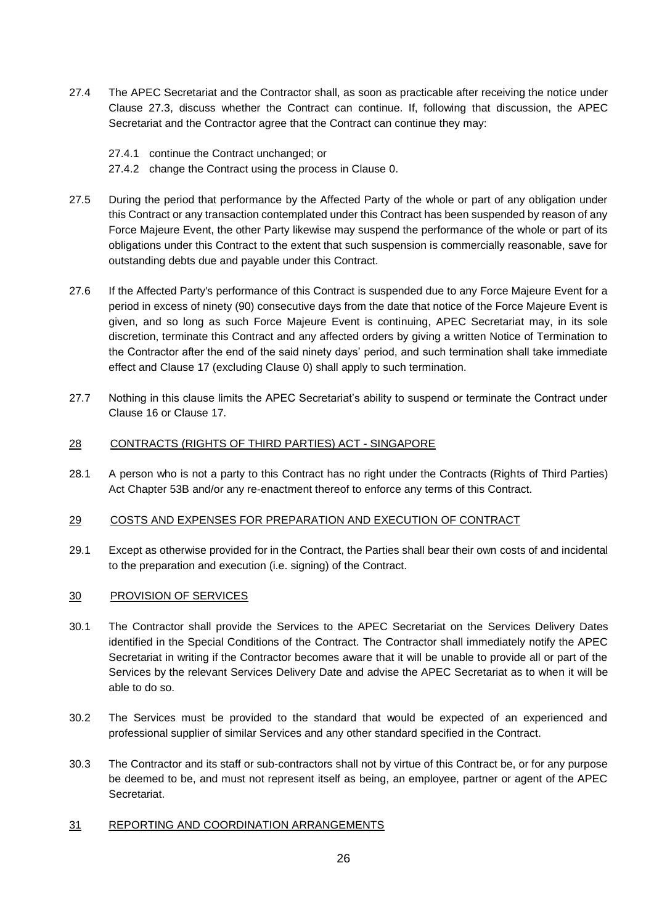- 27.4 The APEC Secretariat and the Contractor shall, as soon as practicable after receiving the notice under Clause 27.3, discuss whether the Contract can continue. If, following that discussion, the APEC Secretariat and the Contractor agree that the Contract can continue they may:
	- 27.4.1 continue the Contract unchanged; or
	- 27.4.2 change the Contract using the process in Clause [0.](#page-16-1)
- 27.5 During the period that performance by the Affected Party of the whole or part of any obligation under this Contract or any transaction contemplated under this Contract has been suspended by reason of any Force Majeure Event, the other Party likewise may suspend the performance of the whole or part of its obligations under this Contract to the extent that such suspension is commercially reasonable, save for outstanding debts due and payable under this Contract.
- 27.6 If the Affected Party's performance of this Contract is suspended due to any Force Majeure Event for a period in excess of ninety (90) consecutive days from the date that notice of the Force Majeure Event is given, and so long as such Force Majeure Event is continuing, APEC Secretariat may, in its sole discretion, terminate this Contract and any affected orders by giving a written Notice of Termination to the Contractor after the end of the said ninety days' period, and such termination shall take immediate effect and Clause [17](#page-21-0) (excluding Clause [0\)](#page-21-1) shall apply to such termination.
- 27.7 Nothing in this clause limits the APEC Secretariat's ability to suspend or terminate the Contract under Clause [16](#page-21-2) or Clause [17.](#page-21-0)

### 28 CONTRACTS (RIGHTS OF THIRD PARTIES) ACT - SINGAPORE

28.1 A person who is not a party to this Contract has no right under the Contracts (Rights of Third Parties) Act Chapter 53B and/or any re-enactment thereof to enforce any terms of this Contract.

#### 29 COSTS AND EXPENSES FOR PREPARATION AND EXECUTION OF CONTRACT

29.1 Except as otherwise provided for in the Contract, the Parties shall bear their own costs of and incidental to the preparation and execution (i.e. signing) of the Contract.

### 30 PROVISION OF SERVICES

- 30.1 The Contractor shall provide the Services to the APEC Secretariat on the Services Delivery Dates identified in the Special Conditions of the Contract. The Contractor shall immediately notify the APEC Secretariat in writing if the Contractor becomes aware that it will be unable to provide all or part of the Services by the relevant Services Delivery Date and advise the APEC Secretariat as to when it will be able to do so.
- 30.2 The Services must be provided to the standard that would be expected of an experienced and professional supplier of similar Services and any other standard specified in the Contract.
- 30.3 The Contractor and its staff or sub-contractors shall not by virtue of this Contract be, or for any purpose be deemed to be, and must not represent itself as being, an employee, partner or agent of the APEC Secretariat.

#### 31 REPORTING AND COORDINATION ARRANGEMENTS